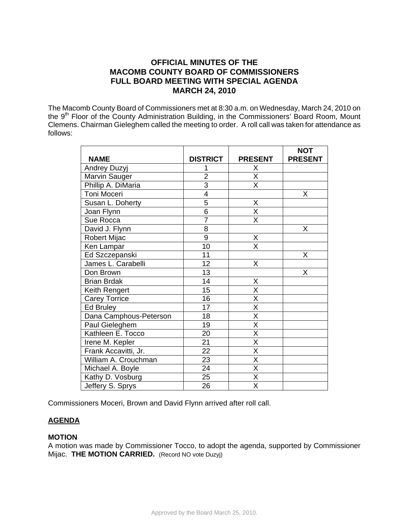# **OFFICIAL MINUTES OF THE MACOMB COUNTY BOARD OF COMMISSIONERS FULL BOARD MEETING WITH SPECIAL AGENDA MARCH 24, 2010**

The Macomb County Board of Commissioners met at 8:30 a.m. on Wednesday, March 24, 2010 on the 9<sup>th</sup> Floor of the County Administration Building, in the Commissioners' Board Room, Mount Clemens. Chairman Gieleghem called the meeting to order. A roll call was taken for attendance as follows:

|                        |                 |                           | <b>NOT</b>     |
|------------------------|-----------------|---------------------------|----------------|
| <b>NAME</b>            | <b>DISTRICT</b> | <b>PRESENT</b>            | <b>PRESENT</b> |
| Andrey Duzyj           |                 | Χ                         |                |
| Marvin Sauger          | $\overline{2}$  | $\overline{\mathsf{x}}$   |                |
| Phillip A. DiMaria     | $\overline{3}$  | $\overline{\mathsf{x}}$   |                |
| Toni Moceri            | 4               |                           | Χ              |
| Susan L. Doherty       | $\overline{5}$  | X                         |                |
| Joan Flynn             | $\overline{6}$  | $\overline{\mathsf{x}}$   |                |
| Sue Rocca              | $\overline{7}$  | X                         |                |
| David J. Flynn         | 8               |                           | X              |
| Robert Mijac           | 9               | X                         |                |
| Ken Lampar             | 10              | $\overline{\overline{x}}$ |                |
| Ed Szczepanski         | 11              |                           | Χ              |
| James L. Carabelli     | $\overline{12}$ | X                         |                |
| Don Brown              | 13              |                           | X              |
| <b>Brian Brdak</b>     | 14              | X                         |                |
| Keith Rengert          | 15              | X                         |                |
| <b>Carey Torrice</b>   | 16              | $\overline{\mathsf{x}}$   |                |
| Ed Bruley              | 17              | $\overline{\mathsf{X}}$   |                |
| Dana Camphous-Peterson | 18              | $\overline{\mathsf{x}}$   |                |
| Paul Gieleghem         | 19              | $\overline{\mathsf{x}}$   |                |
| Kathleen E. Tocco      | $\overline{20}$ | $\overline{\mathsf{x}}$   |                |
| Irene M. Kepler        | 21              | $\overline{\mathsf{x}}$   |                |
| Frank Accavitti, Jr.   | 22              | X                         |                |
| William A. Crouchman   | 23              | X                         |                |
| Michael A. Boyle       | 24              | X                         |                |
| Kathy D. Vosburg       | 25              | X                         |                |
| Jeffery S. Sprys       | 26              | X                         |                |

Commissioners Moceri, Brown and David Flynn arrived after roll call.

# **AGENDA**

# **MOTION**

A motion was made by Commissioner Tocco, to adopt the agenda, supported by Commissioner Mijac. **THE MOTION CARRIED.** (Record NO vote Duzyj)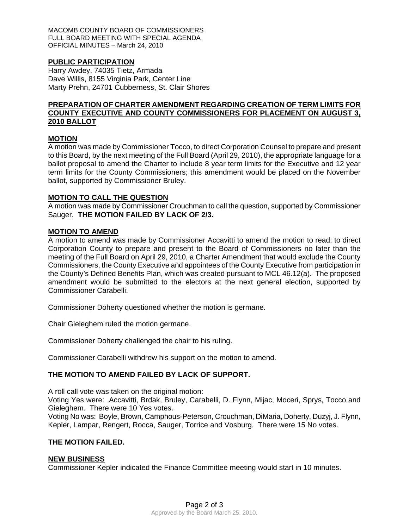MACOMB COUNTY BOARD OF COMMISSIONERS FULL BOARD MEETING WITH SPECIAL AGENDA OFFICIAL MINUTES – March 24, 2010

# **PUBLIC PARTICIPATION**

Harry Awdey, 74035 Tietz, Armada Dave Willis, 8155 Virginia Park, Center Line Marty Prehn, 24701 Cubberness, St. Clair Shores

# **PREPARATION OF CHARTER AMENDMENT REGARDING CREATION OF TERM LIMITS FOR COUNTY EXECUTIVE AND COUNTY COMMISSIONERS FOR PLACEMENT ON AUGUST 3, 2010 BALLOT**

### **MOTION**

A motion was made by Commissioner Tocco, to direct Corporation Counsel to prepare and present to this Board, by the next meeting of the Full Board (April 29, 2010), the appropriate language for a ballot proposal to amend the Charter to include 8 year term limits for the Executive and 12 year term limits for the County Commissioners; this amendment would be placed on the November ballot, supported by Commissioner Bruley.

#### **MOTION TO CALL THE QUESTION**

A motion was made by Commissioner Crouchman to call the question, supported by Commissioner Sauger. **THE MOTION FAILED BY LACK OF 2/3.** 

#### **MOTION TO AMEND**

A motion to amend was made by Commissioner Accavitti to amend the motion to read: to direct Corporation County to prepare and present to the Board of Commissioners no later than the meeting of the Full Board on April 29, 2010, a Charter Amendment that would exclude the County Commissioners, the County Executive and appointees of the County Executive from participation in the County's Defined Benefits Plan, which was created pursuant to MCL 46.12(a). The proposed amendment would be submitted to the electors at the next general election, supported by Commissioner Carabelli.

Commissioner Doherty questioned whether the motion is germane.

Chair Gieleghem ruled the motion germane.

Commissioner Doherty challenged the chair to his ruling.

Commissioner Carabelli withdrew his support on the motion to amend.

### **THE MOTION TO AMEND FAILED BY LACK OF SUPPORT.**

A roll call vote was taken on the original motion:

Voting Yes were: Accavitti, Brdak, Bruley, Carabelli, D. Flynn, Mijac, Moceri, Sprys, Tocco and Gieleghem. There were 10 Yes votes.

Voting No was: Boyle, Brown, Camphous-Peterson, Crouchman, DiMaria, Doherty, Duzyj, J. Flynn, Kepler, Lampar, Rengert, Rocca, Sauger, Torrice and Vosburg. There were 15 No votes.

#### **THE MOTION FAILED.**

### **NEW BUSINESS**

Commissioner Kepler indicated the Finance Committee meeting would start in 10 minutes.